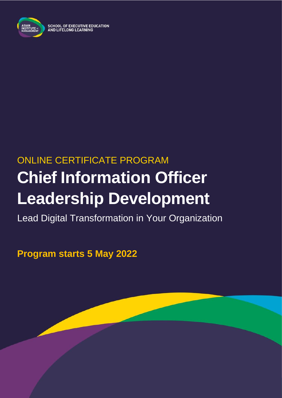

# ONLINE CERTIFICATE PROGRAM **Chief Information Officer Leadership Development**

Lead Digital Transformation in Your Organization

**Program starts 5 May 2022**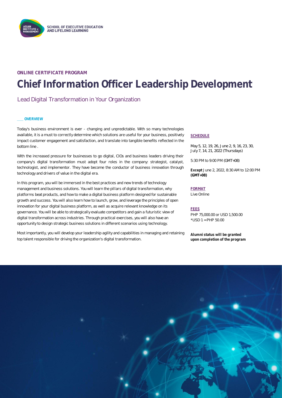

### **ONLINE CERTIFICATE PROGRAM Chief Information Officer Leadership Development**

### Lead Digital Transformation in Your Organization

### **\_\_\_ OVERVIEW**

Today's business environment is ever - changing and unpredictable. With so many technologies available, it is a must to correctly determine which solutions are useful for your business, positively impact customer engagement and satisfaction, and translate into tangible benefits reflected in the bottom line .

With the increased pressure for businesses to go digital, CIOs and business leaders driving their company's digital transformation must adopt four roles in the company: strategist, catalyst, technologist, and implementor. They have become the conductor of business innovation through technology and drivers of value in the digital era.

In this program, you will be immersed in the best practices and new trends of technology management and business solutions. You will learn the pillars of digital transformation, why platforms beat products, and how to make a digital business platform designed for sustainable growth and success. You will also learn how to launch, grow, and leverage the principles of open innovation for your digital business platform, as well as acquire relevant knowledge on its governance. You will be able to strategically evaluate competitors and gain a futuristic view of digital transformation across industries. Through practical exercises, you will also have an opportunity to design strategic business solutions in different scenarios using technology.

Most importantly, you will develop your leadership agility and capabilities in managing and retaining top talent responsible for driving the organization's digital transformation.

### **SCHEDULE**

May 5, 12, 19, 26, June 2, 9, 16, 23, 30, July 7, 14, 21, 2022 (Thursdays)

5:30 PM to 9:00 PM (GMT+08)

**Except** June 2, 2022, 8:30 AM to 12:00 PM **(GMT+08)**

### **FORMAT**

Live Online

### **FEES**

PHP 75,000.00 or USD 1,500.00 \*USD 1 = PHP 50.00

**Alumni status will be granted upon completion of the program**

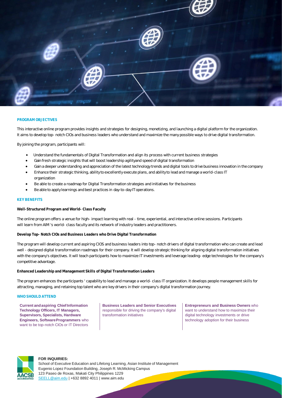

### **PROGRAM OBJECTIVES**

This interactive online program provides insights and strategies for designing, monetizing, and launching a digital platform for the organization. It aims to develop top- notch CIOs and business leaders who understand and maximize the many possible ways to drive digital transformation.

By joining the program, participants will:

- Understand the fundamentals of Digital Transformation and align its process with current business strategies
- Gain fresh strategic insights that will boost leadership agilityand speed of digital transformation
- Gain a deeper understanding and appreciation of the latest technology trends and digital tools to drive business innovation in the company
- Enhance their strategic thinking, ability to excellently execute plans, and ability to lead and manage a world-class IT organization
- Be able to create a roadmap for Digital Transformation strategies and initiatives for the business
- Be able to apply learnings and best practices in day-to-day IT operations.

### **KEY BENEFITS**

**Well-Structured Program and World- Class Faculty**

The online program offers a venue for high- impact learning with real - time, experiential, and interactive online sessions. Participants will learn from AIM 's world- class faculty and its network of industry leaders and practitioners.

**Develop Top- Notch CIOs and Business Leaders who Drive Digital Transformation**

The program will develop current and aspiring CIOS and business leaders into top- notch drivers of digital transformation who can create and lead well - designed digital transformation roadmaps for their company. It will develop strategic thinking for aligning digital transformation initiatives with the company's objectives. It will teach participants how to maximize IT investments and leverage leading- edge technologies for the company's competitive advantage.

**Enhanced Leadership and Management Skills of Digital Transformation Leaders**

The program enhances the participants ' capability to lead and manage a world- class IT organization. It develops people management skills for attracting, managing, and retaining top talent who are key drivers in their company's digital transformation journey.

### WHO SHOULD ATTEND

**Current and aspiring Chief Information Technology Officers, IT Managers, Supervisors, Specialists, Hardware Engineers, SoftwareProgrammers** who want to be top-notch CIOs or IT Directors

**Business Leaders and Senior Executives** responsible for driving the company's digital transformation initiatives

**Entrepreneurs and Business Owners** who want to understand how to maximize their digital technology investments or drive technology adoption for their business



### **FOR INQUIRIES:**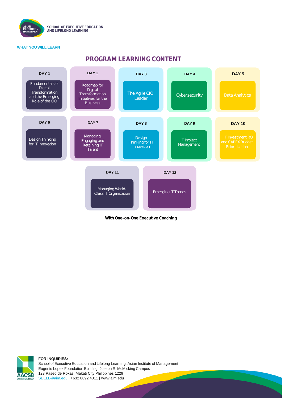

### **WHAT YOU WILL LEARN**

### **PROGRAM LEARNING CONTENT**



**With One-on-One Executive Coaching**



**FOR INQUIRIES:**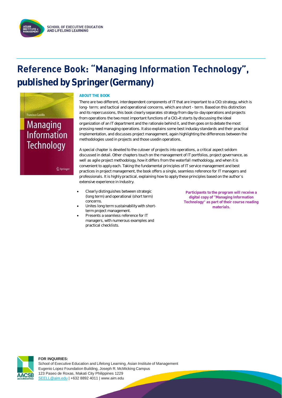# **Reference Book: "Managing Information Technology", published by Springer(Germany)**



 $@$  Springer

### **ABOUT THE BOOK**

There are two different, interdependent components of IT that are important to a CIO: strategy, which is long- term; and tactical and operational concerns, which are short - term. Based on this distinction and its repercussions, this book clearly separates strategy from day-to-day operations and projects from operations the two most important functions of a CIO. It starts by discussing the ideal organization of an IT department and the rationale behind it, and then goes on to debate the most pressing need managing operations. It also explains some best industry standards and their practical implementation, and discusses project management, again highlighting the differences between the methodologies used in projects and those usedin operations.

A special chapter is devoted to the cutover of projects into operations, a critical aspect seldom discussed in detail. Other chapters touch on the management of IT portfolios, project governance, as well as agile project methodology, how it differs from the waterfall methodology, and when it is convenient to apply each. Taking the fundamental principles of IT service management and best practices in project management, the book offers a single, seamless reference for IT managers and professionals. It is highly practical, explaining how to apply these principles based on the author s extensive experience in Industry.

- Clearly distinguishes between strategic (long term) and operational (short term) concerns.
- Unites long term sustainability with shortterm project management.
- Presents a seamless reference for IT managers, with numerous examples and practical checklists.

**Participants to the program will receive a digital copy of Managing Information Technology as part of their course reading materials.**



### **FOR INQUIRIES:**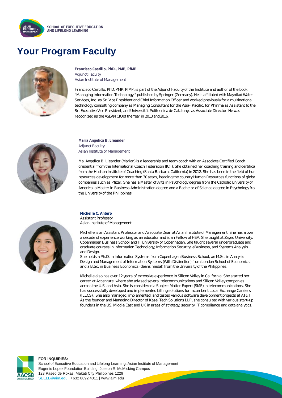

### **Your Program Faculty**



**Francisco Castillo, PhD., PMP, PfMP** Adjunct Faculty Asian Institute of Management

Francisco Castillo, PhD, PMP, PfMP, is part of the Adjunct Faculty of the Institute and author of the book "Managing Information Technology," published by Springer (Germany). He is affiliated with Maynilad Water Services, Inc. as Sr. Vice President and Chief Information Officer and worked previously for a multinational technology consulting company as Managing Consultant for the Asia- Pacific, for Phinma as Assistant to the Sr. Executive Vice President, and Universität Politecnica de Catalunya as Associate Director. He was recognized as the ASEAN CIO of the Year in 2013 and 2016.



**Maria Angelica B. Lleander** Adjunct Faculty Asian Institute of Management

Ma. Angelica B. Lleander (Marian) is a leadership and team coach with an Associate Certified Coach credential from the International Coach Federation (ICF). She obtained her coaching training and certifica from the Hudson Institute of Coaching (Santa Barbara, California) in 2012. She has been in the field of hun resources development for more than 30 years, heading the country Human Resources functions of globa companies such as Pfizer. She has a Master of Arts in Psychology degree from the Catholic University of America, a Master in Business Administration degree and a Bachelor of Science degree in Psychology from the University of the Philippines.

### **Michelle C. Antero**

Assistant Professor Asian Institute of Management

Michelle is an Assistant Professor and Associate Dean at Asian Institute of Management. She has a over a decade of experience working as an educator and is an Fellow of HEA. She taught at Zayed University, Copenhagen Business School and IT University of Copenhagen. She taught several undergraduate and graduate courses in Information Technology, Information Security, eBusiness, and Systems Analysis and Design.

She holds a Ph.D. in Information Systems from Copenhagen Business School, an M.Sc. in Analysis Design and Management of Information Systems (With Distinction) from London School of Economics, and a B.Sc. in Business Economics (deans medal) from the University of the Philippines.

Michelle also has over 12 years of extensive experience in Silicon Valley in California. She started her career at Accenture, where she advised several telecommunications and Silicon Valley companies across the U.S. and Asia. She is considered a Subject Matter Expert (SME) in telecommunications. She has successfully developed and implemented billing solutions for Incumbent Local Exchange Carriers (ILECS). She also managed, implemented, and tested various software development projects at AT&T. As the founder and Managing Director of Kasei Tech Solutions LLP, she consulted with various start-up founders in the US, Middle East and UK in areas of strategy, security, IT compliance and data analytics.



### **FOR INQUIRIES:**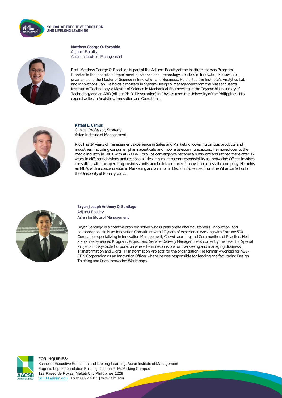

**SCHOOL OF EXECUTIVE EDUCATION AND LIFELONG LEARNING** 

> **Matthew George O. Escobido** Adjunct Faculty Asian Institute of Management



Prof. Matthew George O. Escobido is part of the Adjunct Faculty of the Institute. He was Program Director to the Institute's Department of Science and Technology-Leaders in Innovation Fellowship programs and the Master of Science in Innovation and Business. He started the Institute's Analytics Lab and Innovations Lab. He holds a Masters in System Design & Management from the Massachusetts Institute of Technology, a Master of Science in Mechanical Engineering at the Toyohashi University of Technology and an ABD (All but Ph.D. Dissertation) in Physics from the University of the Philippines. His expertise lies in Analytics, Innovation and Operations.



**Rafael L. Camus**  Clinical Professor, Strategy Asian Institute of Management

Rico has 14 years of management experience in Sales and Marketing, covering various products and industries, including consumer pharmaceuticals and mobile telecommunications. He moved over to the media industry in 2003, with ABS CBN Corp., as convergence became a buzzword and retired there after 17 years in different divisions and responsibilities. His most recent responsibility as Innovation Officer involves consulting with the operating business units and build a culture of innovation across the company. He holds an MBA, with a concentration in Marketing and a minor in Decision Sciences, from the Wharton School of the University of Pennsylvania.



**Bryan Joseph Anthony Q. Santiago** Adjunct Faculty Asian Institute of Management

Bryan Santiago is a creative problem solver who is passionate about customers, innovation, and collaboration. He is an Innovation Consultant with 17 years of experience working with Fortune 500 Companies specializing in Innovation Management, Crowd sourcing and Communities of Practice. He is also an experienced Program, Project and Service Delivery Manager. He is currently the Head for Special Projects in Sky Cable Corporation where he is responsible for overseeing and managing Business Transformation and Digital Transformation Projects for the organization. He formerly worked for ABS-CBN Corporation as an Innovation Officer where he was responsible for leading and facilitating Design Thinking and Open Innovation Workshops.



### **FOR INQUIRIES:**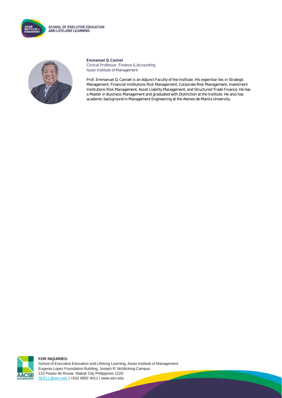

**SCHOOL OF EXECUTIVE EDUCATION** AND LIFELONG LEARNING



**Emmanuel Q. Canivel** Clinical Professor, Finance & Accounting Asian Institute of Management

Prof. Emmanuel Q. Canivel is an Adjunct Faculty of the Institute. His expertise lies in Strategic Management, Financial Institutions Risk Management, Corporate Risk Management, Investment Institutions Risk Management, Asset Liability Management, and Structured Trade Finance. He has a Master in Business Management and graduated with Distinction at the Institute. He also has academic background in Management Engineering at the Ateneo de Manila University.



**FOR INQUIRIES:**